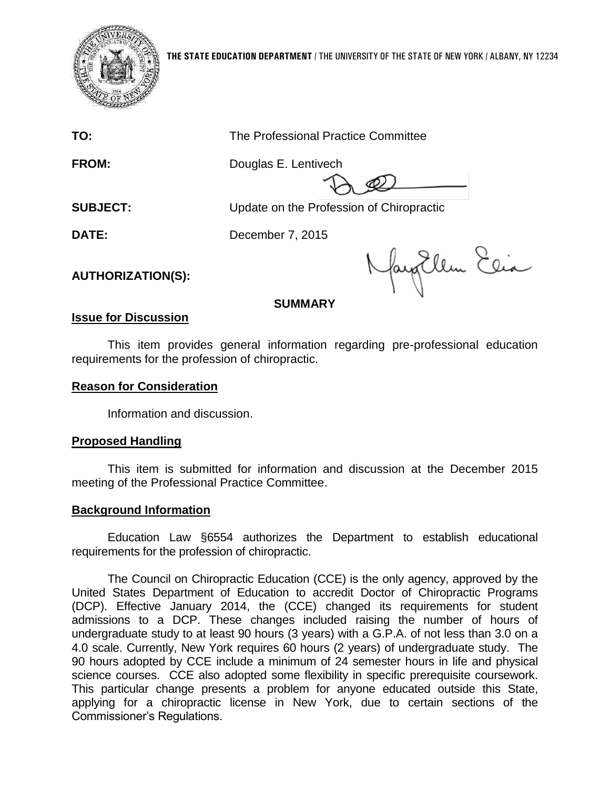

**TO:** The Professional Practice Committee

**FROM:** Douglas E. Lentivech

**SUBJECT:** Update on the Profession of Chiropractic

**DATE:** December 7, 2015

**AUTHORIZATION(S):**

NayEllen Elia

## **SUMMARY**

# **Issue for Discussion**

This item provides general information regarding pre-professional education requirements for the profession of chiropractic.

# **Reason for Consideration**

Information and discussion.

# **Proposed Handling**

This item is submitted for information and discussion at the December 2015 meeting of the Professional Practice Committee.

## **Background Information**

Education Law §6554 authorizes the Department to establish educational requirements for the profession of chiropractic.

The Council on Chiropractic Education (CCE) is the only agency, approved by the United States Department of Education to accredit Doctor of Chiropractic Programs (DCP). Effective January 2014, the (CCE) changed its requirements for student admissions to a DCP. These changes included raising the number of hours of undergraduate study to at least 90 hours (3 years) with a G.P.A. of not less than 3.0 on a 4.0 scale. Currently, New York requires 60 hours (2 years) of undergraduate study. The 90 hours adopted by CCE include a minimum of 24 semester hours in life and physical science courses. CCE also adopted some flexibility in specific prerequisite coursework. This particular change presents a problem for anyone educated outside this State, applying for a chiropractic license in New York, due to certain sections of the Commissioner's Regulations.